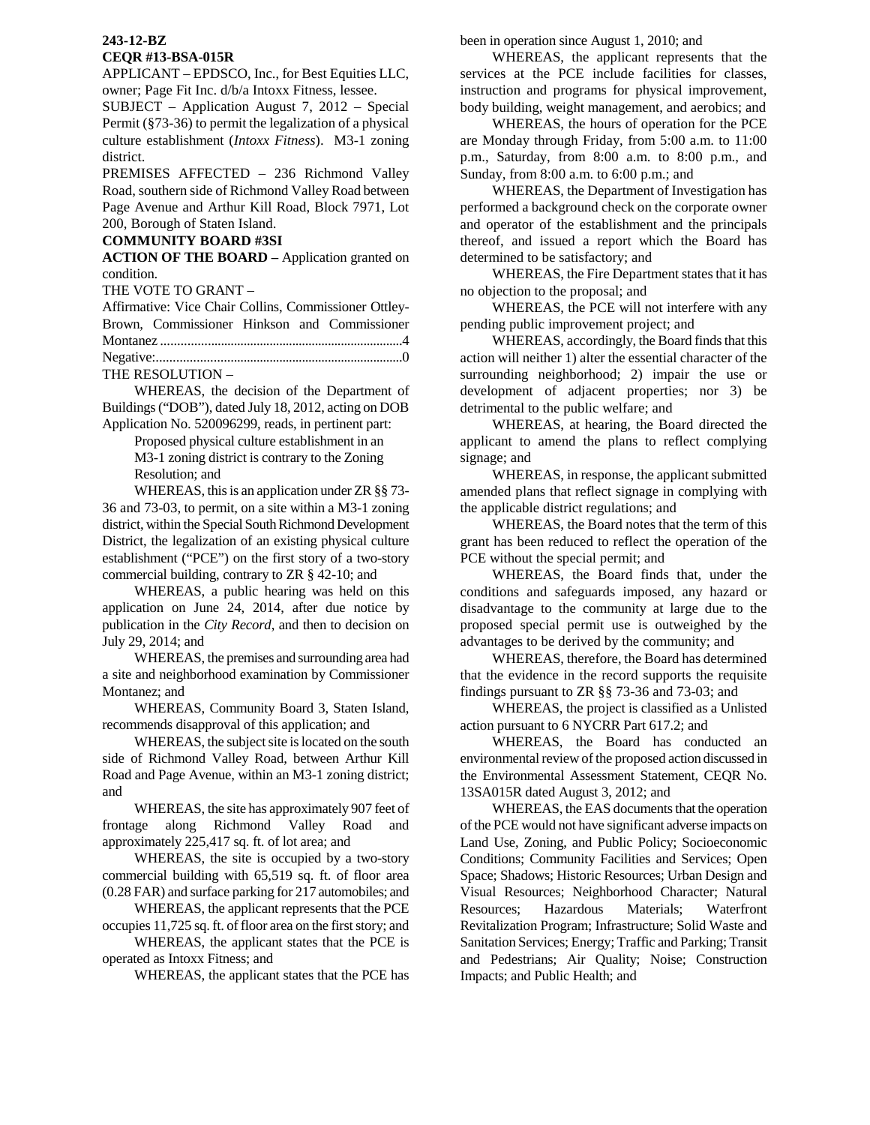## **243-12-BZ CEQR #13-BSA-015R**

APPLICANT – EPDSCO, Inc., for Best Equities LLC, owner; Page Fit Inc. d/b/a Intoxx Fitness, lessee.

SUBJECT – Application August 7, 2012 – Special Permit (§73-36) to permit the legalization of a physical culture establishment (*Intoxx Fitness*). M3-1 zoning district.

PREMISES AFFECTED – 236 Richmond Valley Road, southern side of Richmond Valley Road between Page Avenue and Arthur Kill Road, Block 7971, Lot 200, Borough of Staten Island.

## **COMMUNITY BOARD #3SI**

**ACTION OF THE BOARD –** Application granted on condition.

THE VOTE TO GRANT –

Affirmative: Vice Chair Collins, Commissioner Ottley-Brown, Commissioner Hinkson and Commissioner Montanez ..........................................................................4 Negative:...........................................................................0

THE RESOLUTION –

 WHEREAS, the decision of the Department of Buildings ("DOB"), dated July 18, 2012, acting on DOB Application No. 520096299, reads, in pertinent part:

> Proposed physical culture establishment in an M3-1 zoning district is contrary to the Zoning Resolution; and

 WHEREAS, this is an application under ZR §§ 73- 36 and 73-03, to permit, on a site within a M3-1 zoning district, within the Special South Richmond Development District, the legalization of an existing physical culture establishment ("PCE") on the first story of a two-story commercial building, contrary to ZR § 42-10; and

 WHEREAS, a public hearing was held on this application on June 24, 2014, after due notice by publication in the *City Record*, and then to decision on July 29, 2014; and

 WHEREAS, the premises and surrounding area had a site and neighborhood examination by Commissioner Montanez; and

 WHEREAS, Community Board 3, Staten Island, recommends disapproval of this application; and

 WHEREAS, the subject site is located on the south side of Richmond Valley Road, between Arthur Kill Road and Page Avenue, within an M3-1 zoning district; and

 WHEREAS, the site has approximately 907 feet of frontage along Richmond Valley Road and approximately 225,417 sq. ft. of lot area; and

 WHEREAS, the site is occupied by a two-story commercial building with 65,519 sq. ft. of floor area (0.28 FAR) and surface parking for 217 automobiles; and

WHEREAS, the applicant represents that the PCE occupies 11,725 sq. ft. of floor area on the first story; and

WHEREAS, the applicant states that the PCE is operated as Intoxx Fitness; and

WHEREAS, the applicant states that the PCE has

been in operation since August 1, 2010; and

WHEREAS, the applicant represents that the services at the PCE include facilities for classes, instruction and programs for physical improvement, body building, weight management, and aerobics; and

WHEREAS, the hours of operation for the PCE are Monday through Friday, from 5:00 a.m. to 11:00 p.m., Saturday, from 8:00 a.m. to 8:00 p.m., and Sunday, from 8:00 a.m. to 6:00 p.m.; and

WHEREAS, the Department of Investigation has performed a background check on the corporate owner and operator of the establishment and the principals thereof, and issued a report which the Board has determined to be satisfactory; and

WHEREAS, the Fire Department states that it has no objection to the proposal; and

WHEREAS, the PCE will not interfere with any pending public improvement project; and

WHEREAS, accordingly, the Board finds that this action will neither 1) alter the essential character of the surrounding neighborhood; 2) impair the use or development of adjacent properties; nor 3) be detrimental to the public welfare; and

WHEREAS, at hearing, the Board directed the applicant to amend the plans to reflect complying signage; and

WHEREAS, in response, the applicant submitted amended plans that reflect signage in complying with the applicable district regulations; and

WHEREAS, the Board notes that the term of this grant has been reduced to reflect the operation of the PCE without the special permit; and

WHEREAS, the Board finds that, under the conditions and safeguards imposed, any hazard or disadvantage to the community at large due to the proposed special permit use is outweighed by the advantages to be derived by the community; and

WHEREAS, therefore, the Board has determined that the evidence in the record supports the requisite findings pursuant to ZR §§ 73-36 and 73-03; and

WHEREAS, the project is classified as a Unlisted action pursuant to 6 NYCRR Part 617.2; and

WHEREAS, the Board has conducted an environmental review of the proposed action discussed in the Environmental Assessment Statement, CEQR No. 13SA015R dated August 3, 2012; and

WHEREAS, the EAS documents that the operation of the PCE would not have significant adverse impacts on Land Use, Zoning, and Public Policy; Socioeconomic Conditions; Community Facilities and Services; Open Space; Shadows; Historic Resources; Urban Design and Visual Resources; Neighborhood Character; Natural Resources; Hazardous Materials; Waterfront Revitalization Program; Infrastructure; Solid Waste and Sanitation Services; Energy; Traffic and Parking; Transit and Pedestrians; Air Quality; Noise; Construction Impacts; and Public Health; and